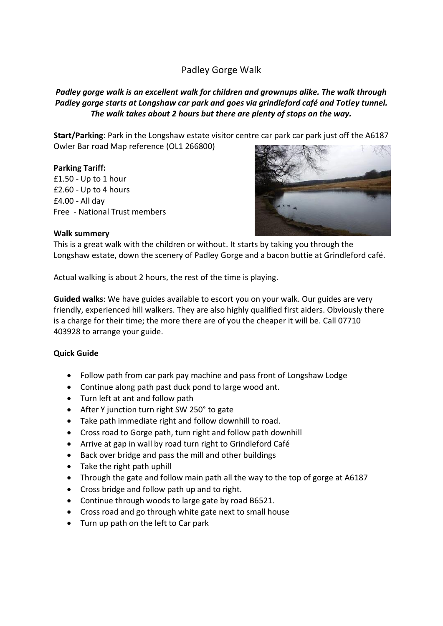# Padley Gorge Walk

## *Padley gorge walk is an excellent walk for children and grownups alike. The walk through Padley gorge starts at Longshaw car park and goes via grindleford café and Totley tunnel. The walk takes about 2 hours but there are plenty of stops on the way.*

**Start/Parking**: Park in the Longshaw estate visitor centre car park car park just off the A6187 Owler Bar road Map reference (OL1 266800)

## **Parking Tariff:**

£1.50 - Up to 1 hour £2.60 - Up to 4 hours £4.00 - All day Free - National Trust members



#### **Walk summery**

This is a great walk with the children or without. It starts by taking you through the Longshaw estate, down the scenery of Padley Gorge and a bacon buttie at Grindleford café.

Actual walking is about 2 hours, the rest of the time is playing.

**Guided walks**: We have guides available to escort you on your walk. Our guides are very friendly, experienced hill walkers. They are also highly qualified first aiders. Obviously there is a charge for their time; the more there are of you the cheaper it will be. Call 07710 403928 to arrange your guide.

### **Quick Guide**

- Follow path from car park pay machine and pass front of Longshaw Lodge
- Continue along path past duck pond to large wood ant.
- Turn left at ant and follow path
- After Y junction turn right SW 250° to gate
- Take path immediate right and follow downhill to road.
- Cross road to Gorge path, turn right and follow path downhill
- Arrive at gap in wall by road turn right to Grindleford Café
- Back over bridge and pass the mill and other buildings
- Take the right path uphill
- Through the gate and follow main path all the way to the top of gorge at A6187
- Cross bridge and follow path up and to right.
- Continue through woods to large gate by road B6521.
- Cross road and go through white gate next to small house
- Turn up path on the left to Car park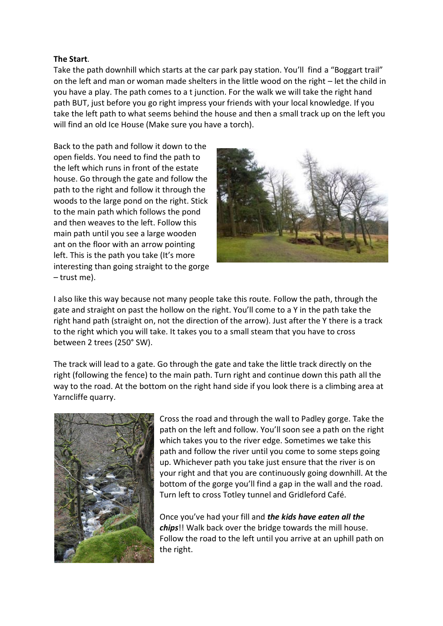## **The Start**.

Take the path downhill which starts at the car park pay station. You'll find a "Boggart trail" on the left and man or woman made shelters in the little wood on the right – let the child in you have a play. The path comes to a t junction. For the walk we will take the right hand path BUT, just before you go right impress your friends with your local knowledge. If you take the left path to what seems behind the house and then a small track up on the left you will find an old Ice House (Make sure you have a torch).

Back to the path and follow it down to the open fields. You need to find the path to the left which runs in front of the estate house. Go through the gate and follow the path to the right and follow it through the woods to the large pond on the right. Stick to the main path which follows the pond and then weaves to the left. Follow this main path until you see a large wooden ant on the floor with an arrow pointing left. This is the path you take (It's more interesting than going straight to the gorge – trust me).



I also like this way because not many people take this route. Follow the path, through the gate and straight on past the hollow on the right. You'll come to a Y in the path take the right hand path (straight on, not the direction of the arrow). Just after the Y there is a track to the right which you will take. It takes you to a small steam that you have to cross between 2 trees (250° SW).

The track will lead to a gate. Go through the gate and take the little track directly on the right (following the fence) to the main path. Turn right and continue down this path all the way to the road. At the bottom on the right hand side if you look there is a climbing area at Yarncliffe quarry.



Cross the road and through the wall to Padley gorge. Take the path on the left and follow. You'll soon see a path on the right which takes you to the river edge. Sometimes we take this path and follow the river until you come to some steps going up. Whichever path you take just ensure that the river is on your right and that you are continuously going downhill. At the bottom of the gorge you'll find a gap in the wall and the road. Turn left to cross Totley tunnel and Gridleford Café.

Once you've had your fill and *the kids have eaten all the chips*!! Walk back over the bridge towards the mill house. Follow the road to the left until you arrive at an uphill path on the right.